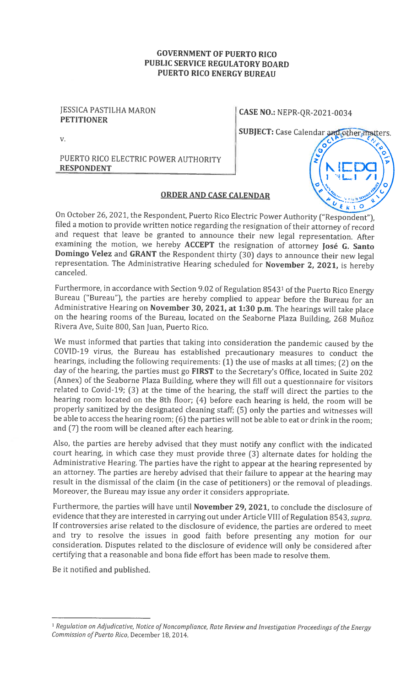#### GOVERNMENT OF PUERTO RICO PUBLIC SERVICE REGULATORY BOARD PUERTO RICO ENERGY BUREAU

## JESSICA PASTILHA MARON **CASE NO.:** NEPR-QR-2021-0034 **PETITIONER**

SUBJECT: Case Calendar and other matters.

V.

PUERTO RICO ELECTRIC POWER AUTHORITY RESPONDENT

# $\overline{c}$  $E$   $K$ <sup>1</sup>

# ORDER AND CASE CALENDAR

On October 26, 2021, the Respondent, Puerto Rico Electric Power Authority ("Respondent"), filed <sup>a</sup> motion to provide written notice regarding the resignation of their attorney of record and request that leave be granted to announce their new legal representation. After examining the motion, we hereby ACCEPT the resignation of attorney José G. Santo Domingo Velez and GRANT the Respondent thirty (30) days to announce their new legal representation. The Administrative Hearing scheduled for November 2, 2021, is hereby canceled.

Furthermore, in accordance with Section 9.02 of Regulation 85431 of the Puerto Rico Energy Bureau ("Bureau"), the parties are hereby complied to appear before the Bureau for an Administrative Hearing on November 30, 2021, at 1:30 p.m. The hearings will take <sup>p</sup>lace on the hearing rooms of the Bureau, located on the Seaborne Plaza Building, 268 Muñoz Rivera Aye, Suite 800, San Juan, Puerto Rico.

We must informed that parties that taking into consideration the pandemic caused by the COVID-19 virus, the Bureau has established precautionary measures to conduct the hearings, including the following requirements: (1) the use of masks at all times; (2) on the day of the hearing, the parties must go FIRST to the Secretary's Office, located in Suite <sup>202</sup> (Annex) of the Seaborne Plaza Building, where they will fill out <sup>a</sup> questionnaire for visitors related to Covid-19; (3) at the time of the hearing, the staff will direct the parties to the hearing room located on the 8th floor; (4) before each hearing is held, the room will be properly sanitized by the designated cleaning staff; (5) only the parties and witnesses will be able to access the hearing room; (6) the parties will not be able to eat or drink in the room; and (7) the room will be cleaned after each hearing.

Also, the parties are hereby advised that they must notify any conflict with the indicated court hearing, in which case they must provide three (3) alternate dates for holding the Administrative Hearing. The parties have the right to appear at the hearing represented by an attorney. The parties are hereby advised that their failure to appear at the hearing may result in the dismissal of the claim (in the case of petitioners) or the removal of <sup>p</sup>leadings. Moreover, the Bureau may issue any order it considers appropriate.

Furthermore, the parties will have until November 29, 2021, to conclude the disclosure of evidence that they are interested in carrying out under Article VIII of Regulation 8543, supra. If controversies arise related to the disclosure of evidence, the parties are ordered to meet and try to resolve the issues in good faith before presenting any motion for our consideration. Disputes related to the disclosure of evidence will only be considered after certifying that <sup>a</sup> reasonable and bona fide effort has been made to resolve them.

Be it notified and published.

<sup>&</sup>lt;sup>1</sup> Regulation on Adjudicative, Notice of Noncompliance, Rate Review and Investigation Proceedings of the Energy Commission of Puerto Rico, December 18, 2014.